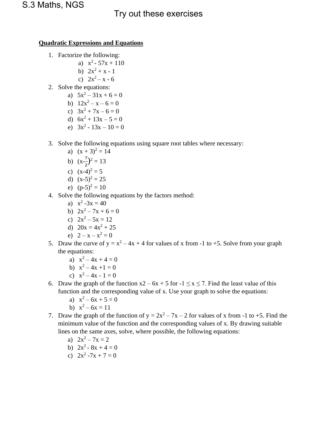## S.3 Maths, NGS<br>Try out these exercises

## **Quadratic Expressions and Equations**

- 1. Factorize the following:
	- a)  $x^2 57x + 110$
	- b)  $2x^2 + x 1$
	- c)  $2x^2 x 6$
- 2. Solve the equations:
	- a)  $5x^2 31x + 6 = 0$
	- b)  $12x^2 x 6 = 0$
	- c)  $3x^2 + 7x 6 = 0$
	- d)  $6x^2 + 13x 5 = 0$
	- e)  $3x^2 13x 10 = 0$
- 3. Solve the following equations using square root tables where necessary:
	- a)  $(x + 3)^2 = 14$
	- b)  $(x-\frac{7}{3})$  $\frac{7}{2}$ )<sup>2</sup> = 13
	- c)  $(x-4)^2 = 5$
	- d)  $(x-5)^2 = 25$
	- e)  $(p-5)^2 = 10$
- 4. Solve the following equations by the factors method:
	- a)  $x^2 3x = 40$
	- b)  $2x^2 7x + 6 = 0$
	- c)  $2x^2 5x = 12$
	- d)  $20x = 4x^2 + 25$
	- e)  $2 x x^2 = 0$
- 5. Draw the curve of  $y = x^2 4x + 4$  for values of x from -1 to +5. Solve from your graph the equations:
	- a)  $x^2 4x + 4 = 0$
	- b)  $x^2 4x + 1 = 0$
	- c)  $x^2 4x 1 = 0$
- 6. Draw the graph of the function  $x^2 6x + 5$  for  $-1 \le x \le 7$ . Find the least value of this function and the corresponding value of x. Use your graph to solve the equations:
	- a)  $x^2 6x + 5 = 0$
	- b)  $x^2 6x = 11$
- 7. Draw the graph of the function of  $y = 2x^2 7x 2$  for values of x from -1 to +5. Find the minimum value of the function and the corresponding values of x. By drawing suitable lines on the same axes, solve, where possible, the following equations:
	- a)  $2x^2 7x = 2$
	- b)  $2x^2 8x + 4 = 0$
	- c)  $2x^2 7x + 7 = 0$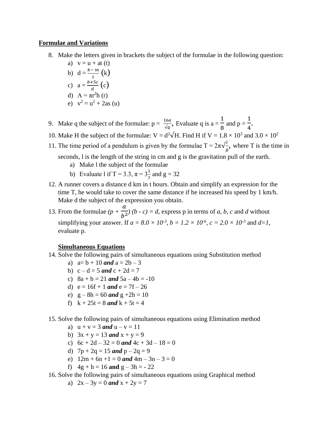## **Formulae and Variations**

- 8. Make the letters given in brackets the subject of the formulae in the following question:
	- a)  $v = u + at(t)$ b)  $d = \frac{k-m}{t}(k)$ t c)  $a = \frac{b+5c}{d}$  $rac{+5c}{d}$  (c) d)  $A = \pi r^2 h(r)$ e)  $v^2 = u^2 + 2as(u)$
- 9. Make q the subject of the formulae:  $p = \frac{16a}{\sqrt{q}}$ , Evaluate q is  $a = \frac{1}{8}$ 8 and  $p =$ 1  $\frac{1}{4}$ .
- 10. Make H the subject of the formulae:  $V = d^2\sqrt{H}$ . Find H if  $V = 1.8 \times 10^3$  and  $3.0 \times 10^2$
- 11. The time period of a pendulum is given by the formulae  $T = 2\pi\sqrt{\frac{l}{r}}$  $\frac{d}{g}$ , where T is the time in

seconds, l is the length of the string in cm and g is the gravitation pull of the earth.

- a) Make l the subject of the formulae
- b) Evaluate 1 if T = 3.3,  $\pi = 3\frac{1}{7}$  and g = 32
- 12. A runner covers a distance d km in t hours. Obtain and simplify an expression for the time T, he would take to cover the same distance if he increased his speed by 1 km/h. Make d the subject of the expression you obtain.
- 13. From the formulae *(p +*   $\boldsymbol{a}$  $\frac{1}{b^2}$  (*b - c*) = *d*, express p in terms of *a*, *b*, *c* and *d* without simplifying your answer. If  $a = 8.0 \times 10^{-3}$ ,  $b = 1.2 \times 10^{-6}$ ,  $c = 2.0 \times 10^{-3}$  and  $d=1$ , evaluate p.

## **Simultaneous Equations**

- 14. Solve the following pairs of simultaneous equations using Substitution method
	- a)  $a=b+10$  *and*  $a = 2b-3$
	- b)  $c d = 5$  *and*  $c + 2d = 7$
	- c)  $8a + b = 21$  *and*  $5a 4b = -10$
	- d)  $e = 16f + 1$  and  $e = 7f 26$
	- e)  $g 8h = 60$  and  $g + 2h = 10$
	- f)  $k + 25t = 8$  *and*  $k + 5t = 4$
- 15. Solve the following pairs of simultaneous equations using Elimination method
	- a)  $u + v = 3$  *and*  $u v = 11$
	- b)  $3x + y = 13$  *and*  $x + y = 9$
	- c)  $6c + 2d 32 = 0$  and  $4c + 3d 18 = 0$
	- d)  $7p + 2q = 15$  and  $p 2q = 9$
	- e)  $12m + 6n + 1 = 0$  and  $4m 3n 3 = 0$
	- f)  $4g + h = 16$  and  $g 3h = -22$
- 16. Solve the following pairs of simultaneous equations using Graphical method
	- a)  $2x 3y = 0$  and  $x + 2y = 7$